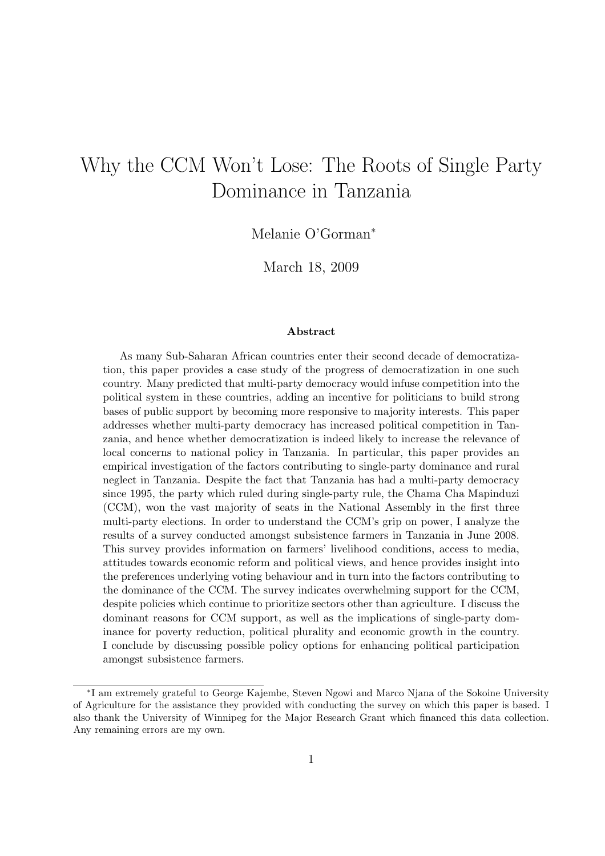# Why the CCM Won't Lose: The Roots of Single Party Dominance in Tanzania

Melanie O'Gorman<sup>∗</sup>

March 18, 2009

#### Abstract

As many Sub-Saharan African countries enter their second decade of democratization, this paper provides a case study of the progress of democratization in one such country. Many predicted that multi-party democracy would infuse competition into the political system in these countries, adding an incentive for politicians to build strong bases of public support by becoming more responsive to majority interests. This paper addresses whether multi-party democracy has increased political competition in Tanzania, and hence whether democratization is indeed likely to increase the relevance of local concerns to national policy in Tanzania. In particular, this paper provides an empirical investigation of the factors contributing to single-party dominance and rural neglect in Tanzania. Despite the fact that Tanzania has had a multi-party democracy since 1995, the party which ruled during single-party rule, the Chama Cha Mapinduzi (CCM), won the vast majority of seats in the National Assembly in the first three multi-party elections. In order to understand the CCM's grip on power, I analyze the results of a survey conducted amongst subsistence farmers in Tanzania in June 2008. This survey provides information on farmers' livelihood conditions, access to media, attitudes towards economic reform and political views, and hence provides insight into the preferences underlying voting behaviour and in turn into the factors contributing to the dominance of the CCM. The survey indicates overwhelming support for the CCM, despite policies which continue to prioritize sectors other than agriculture. I discuss the dominant reasons for CCM support, as well as the implications of single-party dominance for poverty reduction, political plurality and economic growth in the country. I conclude by discussing possible policy options for enhancing political participation amongst subsistence farmers.

<sup>∗</sup> I am extremely grateful to George Kajembe, Steven Ngowi and Marco Njana of the Sokoine University of Agriculture for the assistance they provided with conducting the survey on which this paper is based. I also thank the University of Winnipeg for the Major Research Grant which financed this data collection. Any remaining errors are my own.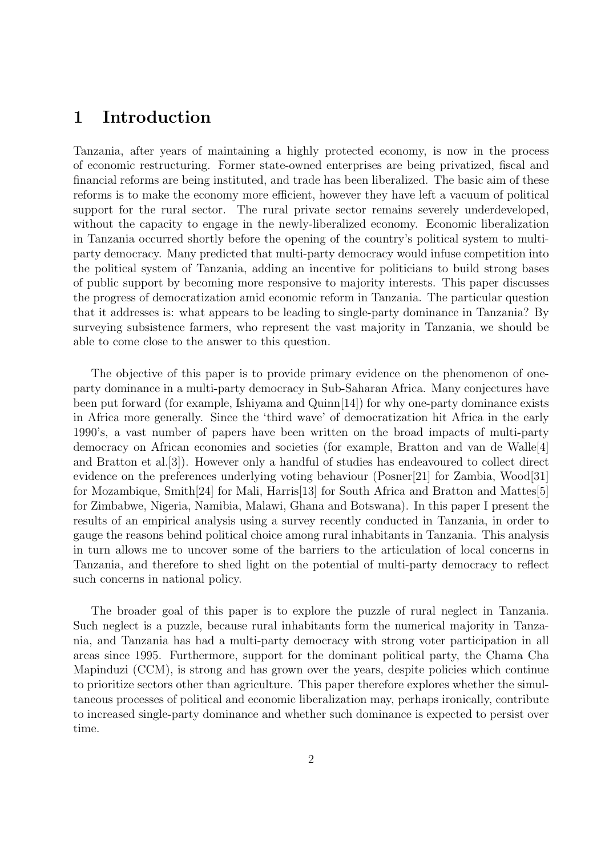### 1 Introduction

Tanzania, after years of maintaining a highly protected economy, is now in the process of economic restructuring. Former state-owned enterprises are being privatized, fiscal and financial reforms are being instituted, and trade has been liberalized. The basic aim of these reforms is to make the economy more efficient, however they have left a vacuum of political support for the rural sector. The rural private sector remains severely underdeveloped, without the capacity to engage in the newly-liberalized economy. Economic liberalization in Tanzania occurred shortly before the opening of the country's political system to multiparty democracy. Many predicted that multi-party democracy would infuse competition into the political system of Tanzania, adding an incentive for politicians to build strong bases of public support by becoming more responsive to majority interests. This paper discusses the progress of democratization amid economic reform in Tanzania. The particular question that it addresses is: what appears to be leading to single-party dominance in Tanzania? By surveying subsistence farmers, who represent the vast majority in Tanzania, we should be able to come close to the answer to this question.

The objective of this paper is to provide primary evidence on the phenomenon of oneparty dominance in a multi-party democracy in Sub-Saharan Africa. Many conjectures have been put forward (for example, Ishiyama and Quinn[14]) for why one-party dominance exists in Africa more generally. Since the 'third wave' of democratization hit Africa in the early 1990's, a vast number of papers have been written on the broad impacts of multi-party democracy on African economies and societies (for example, Bratton and van de Walle<sup>[4]</sup> and Bratton et al.[3]). However only a handful of studies has endeavoured to collect direct evidence on the preferences underlying voting behaviour (Posner[21] for Zambia, Wood[31] for Mozambique, Smith[24] for Mali, Harris[13] for South Africa and Bratton and Mattes[5] for Zimbabwe, Nigeria, Namibia, Malawi, Ghana and Botswana). In this paper I present the results of an empirical analysis using a survey recently conducted in Tanzania, in order to gauge the reasons behind political choice among rural inhabitants in Tanzania. This analysis in turn allows me to uncover some of the barriers to the articulation of local concerns in Tanzania, and therefore to shed light on the potential of multi-party democracy to reflect such concerns in national policy.

The broader goal of this paper is to explore the puzzle of rural neglect in Tanzania. Such neglect is a puzzle, because rural inhabitants form the numerical majority in Tanzania, and Tanzania has had a multi-party democracy with strong voter participation in all areas since 1995. Furthermore, support for the dominant political party, the Chama Cha Mapinduzi (CCM), is strong and has grown over the years, despite policies which continue to prioritize sectors other than agriculture. This paper therefore explores whether the simultaneous processes of political and economic liberalization may, perhaps ironically, contribute to increased single-party dominance and whether such dominance is expected to persist over time.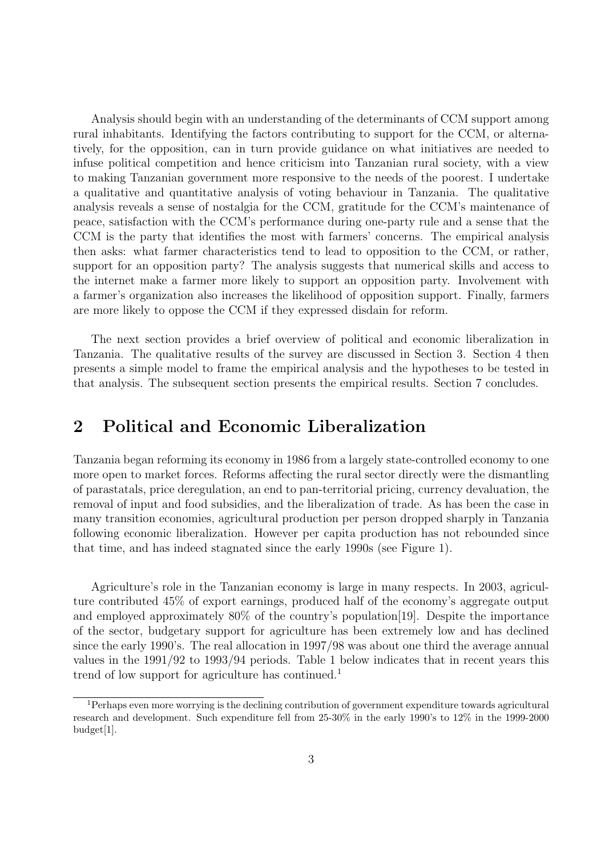Analysis should begin with an understanding of the determinants of CCM support among rural inhabitants. Identifying the factors contributing to support for the CCM, or alternatively, for the opposition, can in turn provide guidance on what initiatives are needed to infuse political competition and hence criticism into Tanzanian rural society, with a view to making Tanzanian government more responsive to the needs of the poorest. I undertake a qualitative and quantitative analysis of voting behaviour in Tanzania. The qualitative analysis reveals a sense of nostalgia for the CCM, gratitude for the CCM's maintenance of peace, satisfaction with the CCM's performance during one-party rule and a sense that the CCM is the party that identifies the most with farmers' concerns. The empirical analysis then asks: what farmer characteristics tend to lead to opposition to the CCM, or rather, support for an opposition party? The analysis suggests that numerical skills and access to the internet make a farmer more likely to support an opposition party. Involvement with a farmer's organization also increases the likelihood of opposition support. Finally, farmers are more likely to oppose the CCM if they expressed disdain for reform.

The next section provides a brief overview of political and economic liberalization in Tanzania. The qualitative results of the survey are discussed in Section 3. Section 4 then presents a simple model to frame the empirical analysis and the hypotheses to be tested in that analysis. The subsequent section presents the empirical results. Section 7 concludes.

### 2 Political and Economic Liberalization

Tanzania began reforming its economy in 1986 from a largely state-controlled economy to one more open to market forces. Reforms affecting the rural sector directly were the dismantling of parastatals, price deregulation, an end to pan-territorial pricing, currency devaluation, the removal of input and food subsidies, and the liberalization of trade. As has been the case in many transition economies, agricultural production per person dropped sharply in Tanzania following economic liberalization. However per capita production has not rebounded since that time, and has indeed stagnated since the early 1990s (see Figure 1).

Agriculture's role in the Tanzanian economy is large in many respects. In 2003, agriculture contributed 45% of export earnings, produced half of the economy's aggregate output and employed approximately 80% of the country's population[19]. Despite the importance of the sector, budgetary support for agriculture has been extremely low and has declined since the early 1990's. The real allocation in 1997/98 was about one third the average annual values in the 1991/92 to 1993/94 periods. Table 1 below indicates that in recent years this trend of low support for agriculture has continued.<sup>1</sup>

<sup>&</sup>lt;sup>1</sup>Perhaps even more worrying is the declining contribution of government expenditure towards agricultural research and development. Such expenditure fell from 25-30% in the early 1990's to 12% in the 1999-2000 budget[1].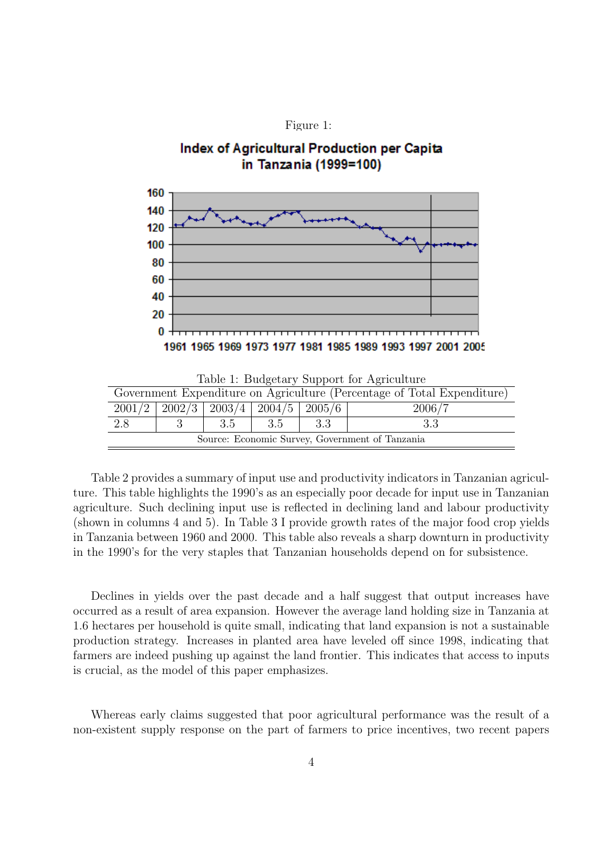

#### Index of Agricultural Production per Capita in Tanzania (1999=100)



|  |  | Table 1: Budgetary Support for Agriculture |
|--|--|--------------------------------------------|
|  |  |                                            |

| Government Expenditure on Agriculture (Percentage of Total Expenditure) |  |       |     |      |    |  |  |
|-------------------------------------------------------------------------|--|-------|-----|------|----|--|--|
| $2001/2$   $2002/3$   $2003/4$   $2004/5$   $2005/6$<br>2006/7          |  |       |     |      |    |  |  |
| 2.8                                                                     |  | - 3.5 | 3.5 | -3.3 | 33 |  |  |
| Source: Economic Survey, Government of Tanzania                         |  |       |     |      |    |  |  |

Table 2 provides a summary of input use and productivity indicators in Tanzanian agriculture. This table highlights the 1990's as an especially poor decade for input use in Tanzanian agriculture. Such declining input use is reflected in declining land and labour productivity (shown in columns 4 and 5). In Table 3 I provide growth rates of the major food crop yields in Tanzania between 1960 and 2000. This table also reveals a sharp downturn in productivity in the 1990's for the very staples that Tanzanian households depend on for subsistence.

Declines in yields over the past decade and a half suggest that output increases have occurred as a result of area expansion. However the average land holding size in Tanzania at 1.6 hectares per household is quite small, indicating that land expansion is not a sustainable production strategy. Increases in planted area have leveled off since 1998, indicating that farmers are indeed pushing up against the land frontier. This indicates that access to inputs is crucial, as the model of this paper emphasizes.

Whereas early claims suggested that poor agricultural performance was the result of a non-existent supply response on the part of farmers to price incentives, two recent papers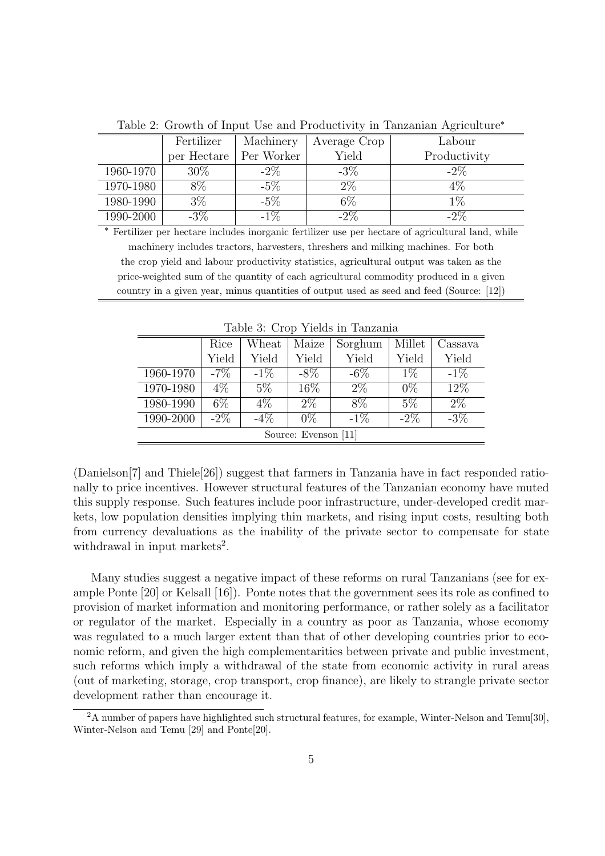|           | Fertilizer  | Machinery  | Average Crop | Labour       |
|-----------|-------------|------------|--------------|--------------|
|           | per Hectare | Per Worker | Yield        | Productivity |
| 1960-1970 | $30\%$      | $-2\%$     | $-3\%$       | $-2\%$       |
| 1970-1980 | $8\%$       | $-5\%$     | $2\%$        | $4\%$        |
| 1980-1990 | $3\%$       | $-5\%$     | $6\%$        | $1\%$        |
| 1990-2000 | $-3\%$      | $-1\%$     | $-2\%$       | $-2\%$       |

Table 2: Growth of Input Use and Productivity in Tanzanian Agriculture<sup>∗</sup>

<sup>∗</sup> Fertilizer per hectare includes inorganic fertilizer use per hectare of agricultural land, while machinery includes tractors, harvesters, threshers and milking machines. For both the crop yield and labour productivity statistics, agricultural output was taken as the price-weighted sum of the quantity of each agricultural commodity produced in a given country in a given year, minus quantities of output used as seed and feed (Source: [12])

| Table 9. Orop Tickes in Tanzania |        |        |        |         |        |         |  |
|----------------------------------|--------|--------|--------|---------|--------|---------|--|
|                                  | Rice   | Wheat  | Maize  | Sorghum | Millet | Cassava |  |
|                                  | Yield  | Yield  | Yield  | Yield   | Yield  | Yield   |  |
| 1960-1970                        | $-7\%$ | $-1\%$ | $-8\%$ | $-6\%$  | $1\%$  | $-1\%$  |  |
| 1970-1980                        | $4\%$  | $5\%$  | 16\%   | $2\%$   | $0\%$  | 12\%    |  |
| 1980-1990                        | $6\%$  | $4\%$  | $2\%$  | 8\%     | $5\%$  | $2\%$   |  |
| 1990-2000                        | $-2\%$ | $-4\%$ | $0\%$  | $-1\%$  | $-2\%$ | $-3\%$  |  |
| Source: Evenson [11]             |        |        |        |         |        |         |  |

Table 3: Crop Yields in Tanzania

(Danielson[7] and Thiele[26]) suggest that farmers in Tanzania have in fact responded rationally to price incentives. However structural features of the Tanzanian economy have muted this supply response. Such features include poor infrastructure, under-developed credit markets, low population densities implying thin markets, and rising input costs, resulting both from currency devaluations as the inability of the private sector to compensate for state withdrawal in input markets<sup>2</sup>.

Many studies suggest a negative impact of these reforms on rural Tanzanians (see for example Ponte [20] or Kelsall [16]). Ponte notes that the government sees its role as confined to provision of market information and monitoring performance, or rather solely as a facilitator or regulator of the market. Especially in a country as poor as Tanzania, whose economy was regulated to a much larger extent than that of other developing countries prior to economic reform, and given the high complementarities between private and public investment, such reforms which imply a withdrawal of the state from economic activity in rural areas (out of marketing, storage, crop transport, crop finance), are likely to strangle private sector development rather than encourage it.

<sup>&</sup>lt;sup>2</sup>A number of papers have highlighted such structural features, for example, Winter-Nelson and Temu[30], Winter-Nelson and Temu [29] and Ponte[20].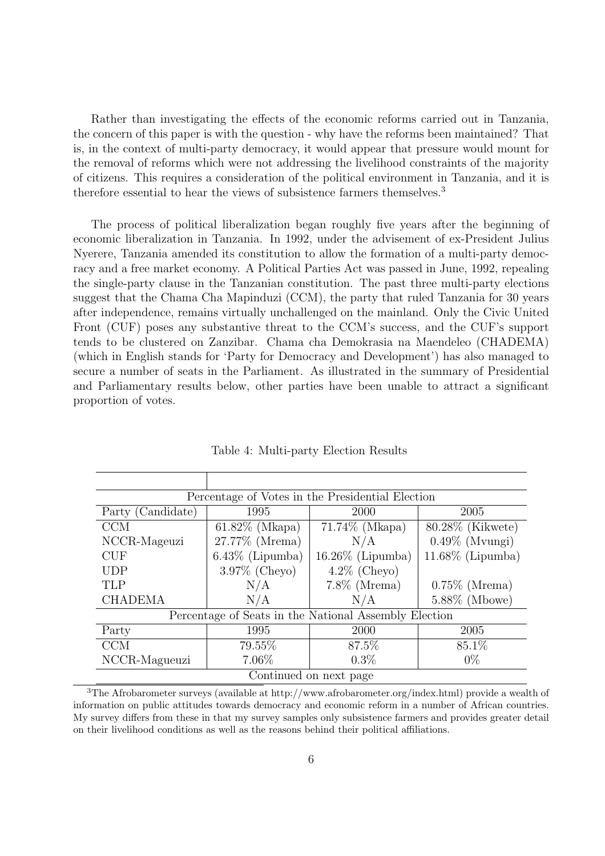Rather than investigating the effects of the economic reforms carried out in Tanzania, the concern of this paper is with the question - why have the reforms been maintained? That is, in the context of multi-party democracy, it would appear that pressure would mount for the removal of reforms which were not addressing the livelihood constraints of the majority of citizens. This requires a consideration of the political environment in Tanzania, and it is therefore essential to hear the views of subsistence farmers themselves.<sup>3</sup>

The process of political liberalization began roughly five years after the beginning of economic liberalization in Tanzania. In 1992, under the advisement of ex-President Julius Nyerere, Tanzania amended its constitution to allow the formation of a multi-party democracy and a free market economy. A Political Parties Act was passed in June, 1992, repealing the single-party clause in the Tanzanian constitution. The past three multi-party elections suggest that the Chama Cha Mapinduzi (CCM), the party that ruled Tanzania for 30 years after independence, remains virtually unchallenged on the mainland. Only the Civic United Front (CUF) poses any substantive threat to the CCM's success, and the CUF's support tends to be clustered on Zanzibar. Chama cha Demokrasia na Maendeleo (CHADEMA) (which in English stands for 'Party for Democracy and Development') has also managed to secure a number of seats in the Parliament. As illustrated in the summary of Presidential and Parliamentary results below, other parties have been unable to attract a significant proportion of votes.

| Percentage of Votes in the Presidential Election |                    |                                                       |                     |  |  |  |  |
|--------------------------------------------------|--------------------|-------------------------------------------------------|---------------------|--|--|--|--|
| Party (Candidate)                                | 1995               | <b>2000</b><br>2005                                   |                     |  |  |  |  |
| <b>CCM</b>                                       | $61.82\%$ (Mkapa)  | 71.74% (Mkapa)                                        | 80.28% (Kikwete)    |  |  |  |  |
| NCCR-Mageuzi                                     | 27.77% (Mrema)     | N/A                                                   | $0.49\%$ (Mvungi)   |  |  |  |  |
| <b>CUF</b>                                       | $6.43\%$ (Lipumba) | $16.26\%$ (Lipumba)                                   | $11.68\%$ (Lipumba) |  |  |  |  |
| <b>UDP</b>                                       | $3.97\%$ (Cheyo)   | $4.2\%$ (Cheyo)                                       |                     |  |  |  |  |
| <b>TLP</b>                                       | N/A                | $7.8\%$ (Mrema)                                       | $0.75\%$ (Mrema)    |  |  |  |  |
| <b>CHADEMA</b>                                   | N/A                | N/A                                                   | $5.88\%$ (Mbowe)    |  |  |  |  |
|                                                  |                    | Percentage of Seats in the National Assembly Election |                     |  |  |  |  |
| Party                                            | 1995               | 2000                                                  | 2005                |  |  |  |  |
| <b>CCM</b>                                       | 79.55%             | 87.5%                                                 | 85.1%               |  |  |  |  |
| NCCR-Magueuzi                                    | 7.06%              | $0.3\%$                                               | $0\%$               |  |  |  |  |
| Continued on next page                           |                    |                                                       |                     |  |  |  |  |

Table 4: Multi-party Election Results

<sup>3</sup>The Afrobarometer surveys (available at http://www.afrobarometer.org/index.html) provide a wealth of information on public attitudes towards democracy and economic reform in a number of African countries. My survey differs from these in that my survey samples only subsistence farmers and provides greater detail on their livelihood conditions as well as the reasons behind their political affiliations.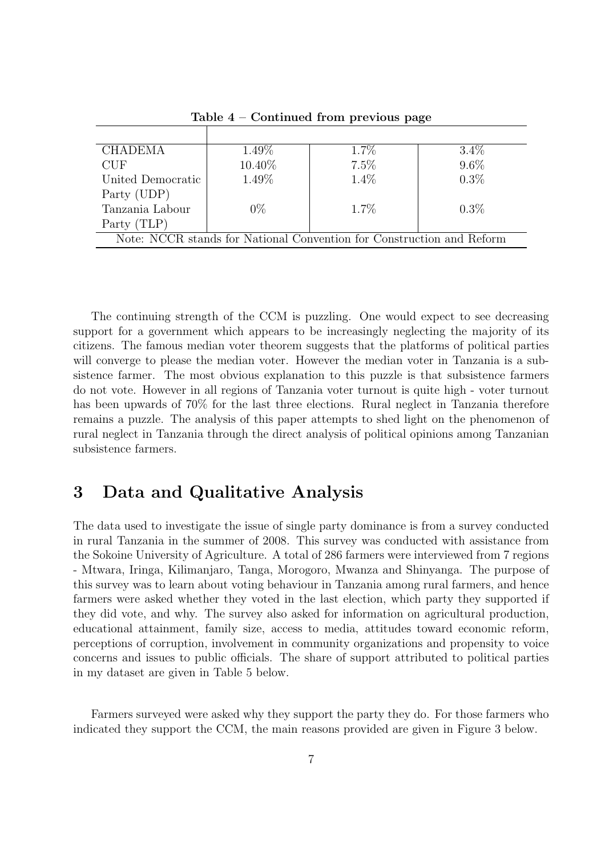| <b>CHADEMA</b>                                                        | 1.49%  | $1.7\%$ | $3.4\%$ |  |  |
|-----------------------------------------------------------------------|--------|---------|---------|--|--|
| CUE                                                                   | 10.40% | $7.5\%$ | $9.6\%$ |  |  |
| United Democratic                                                     | 1.49%  | 1.4%    | $0.3\%$ |  |  |
| Party (UDP)                                                           |        |         |         |  |  |
| Tanzania Labour                                                       | $0\%$  | $1.7\%$ | $0.3\%$ |  |  |
| Party (TLP)                                                           |        |         |         |  |  |
| Note: NCCR stands for National Convention for Construction and Reform |        |         |         |  |  |

Table 4 – Continued from previous page

The continuing strength of the CCM is puzzling. One would expect to see decreasing support for a government which appears to be increasingly neglecting the majority of its citizens. The famous median voter theorem suggests that the platforms of political parties will converge to please the median voter. However the median voter in Tanzania is a subsistence farmer. The most obvious explanation to this puzzle is that subsistence farmers do not vote. However in all regions of Tanzania voter turnout is quite high - voter turnout has been upwards of 70% for the last three elections. Rural neglect in Tanzania therefore remains a puzzle. The analysis of this paper attempts to shed light on the phenomenon of rural neglect in Tanzania through the direct analysis of political opinions among Tanzanian subsistence farmers.

## 3 Data and Qualitative Analysis

The data used to investigate the issue of single party dominance is from a survey conducted in rural Tanzania in the summer of 2008. This survey was conducted with assistance from the Sokoine University of Agriculture. A total of 286 farmers were interviewed from 7 regions - Mtwara, Iringa, Kilimanjaro, Tanga, Morogoro, Mwanza and Shinyanga. The purpose of this survey was to learn about voting behaviour in Tanzania among rural farmers, and hence farmers were asked whether they voted in the last election, which party they supported if they did vote, and why. The survey also asked for information on agricultural production, educational attainment, family size, access to media, attitudes toward economic reform, perceptions of corruption, involvement in community organizations and propensity to voice concerns and issues to public officials. The share of support attributed to political parties in my dataset are given in Table 5 below.

Farmers surveyed were asked why they support the party they do. For those farmers who indicated they support the CCM, the main reasons provided are given in Figure 3 below.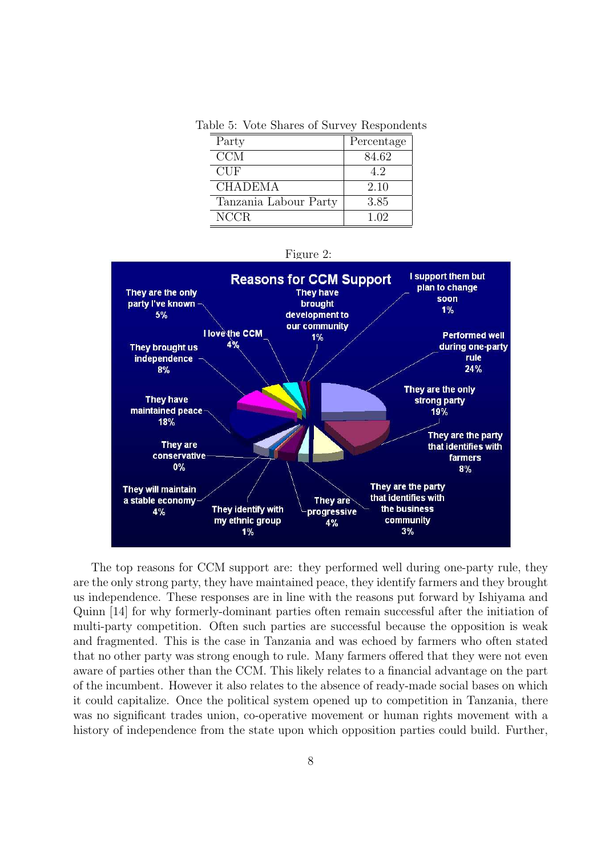Table 5: Vote Shares of Survey Respondents

| Party                 | Percentage |
|-----------------------|------------|
| CCM                   | 84.62      |
| <b>CUF</b>            | 4.2        |
| <b>CHADEMA</b>        | 2.10       |
| Tanzania Labour Party | 3.85       |
| NCCR.                 | 1.02       |



The top reasons for CCM support are: they performed well during one-party rule, they are the only strong party, they have maintained peace, they identify farmers and they brought us independence. These responses are in line with the reasons put forward by Ishiyama and Quinn [14] for why formerly-dominant parties often remain successful after the initiation of multi-party competition. Often such parties are successful because the opposition is weak and fragmented. This is the case in Tanzania and was echoed by farmers who often stated that no other party was strong enough to rule. Many farmers offered that they were not even aware of parties other than the CCM. This likely relates to a financial advantage on the part of the incumbent. However it also relates to the absence of ready-made social bases on which it could capitalize. Once the political system opened up to competition in Tanzania, there was no significant trades union, co-operative movement or human rights movement with a history of independence from the state upon which opposition parties could build. Further,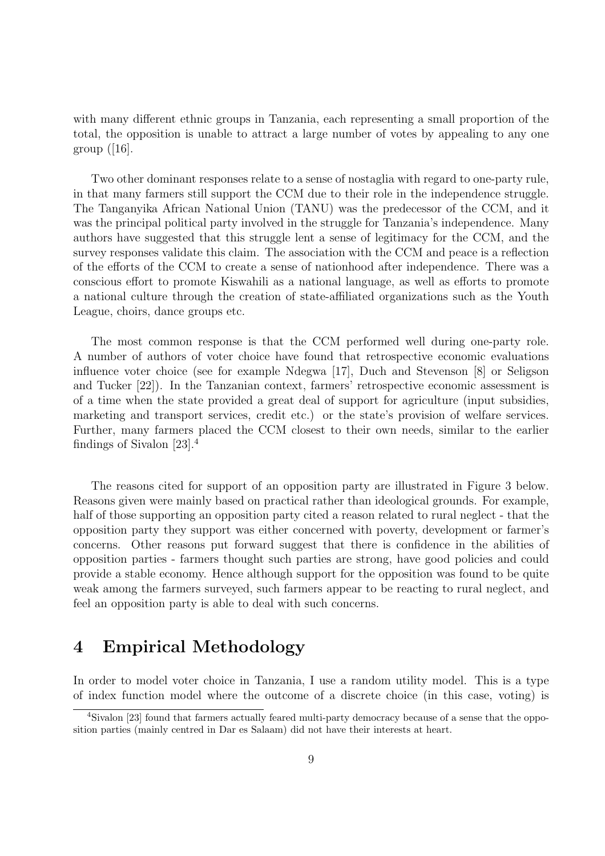with many different ethnic groups in Tanzania, each representing a small proportion of the total, the opposition is unable to attract a large number of votes by appealing to any one group  $([16]$ .

Two other dominant responses relate to a sense of nostaglia with regard to one-party rule, in that many farmers still support the CCM due to their role in the independence struggle. The Tanganyika African National Union (TANU) was the predecessor of the CCM, and it was the principal political party involved in the struggle for Tanzania's independence. Many authors have suggested that this struggle lent a sense of legitimacy for the CCM, and the survey responses validate this claim. The association with the CCM and peace is a reflection of the efforts of the CCM to create a sense of nationhood after independence. There was a conscious effort to promote Kiswahili as a national language, as well as efforts to promote a national culture through the creation of state-affiliated organizations such as the Youth League, choirs, dance groups etc.

The most common response is that the CCM performed well during one-party role. A number of authors of voter choice have found that retrospective economic evaluations influence voter choice (see for example Ndegwa [17], Duch and Stevenson [8] or Seligson and Tucker [22]). In the Tanzanian context, farmers' retrospective economic assessment is of a time when the state provided a great deal of support for agriculture (input subsidies, marketing and transport services, credit etc.) or the state's provision of welfare services. Further, many farmers placed the CCM closest to their own needs, similar to the earlier findings of Sivalon [23].<sup>4</sup>

The reasons cited for support of an opposition party are illustrated in Figure 3 below. Reasons given were mainly based on practical rather than ideological grounds. For example, half of those supporting an opposition party cited a reason related to rural neglect - that the opposition party they support was either concerned with poverty, development or farmer's concerns. Other reasons put forward suggest that there is confidence in the abilities of opposition parties - farmers thought such parties are strong, have good policies and could provide a stable economy. Hence although support for the opposition was found to be quite weak among the farmers surveyed, such farmers appear to be reacting to rural neglect, and feel an opposition party is able to deal with such concerns.

# 4 Empirical Methodology

In order to model voter choice in Tanzania, I use a random utility model. This is a type of index function model where the outcome of a discrete choice (in this case, voting) is

<sup>4</sup>Sivalon [23] found that farmers actually feared multi-party democracy because of a sense that the opposition parties (mainly centred in Dar es Salaam) did not have their interests at heart.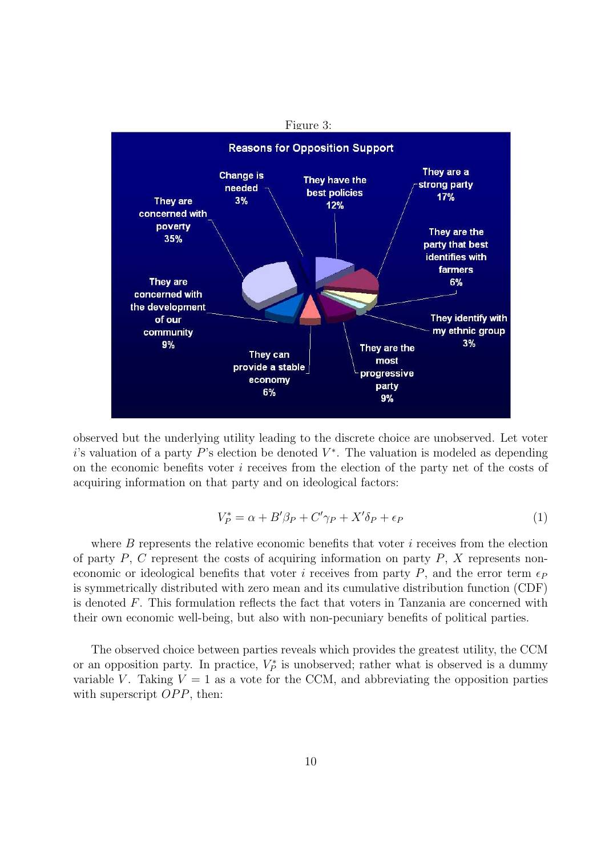

observed but the underlying utility leading to the discrete choice are unobserved. Let voter i's valuation of a party  $P$ 's election be denoted  $V^*$ . The valuation is modeled as depending on the economic benefits voter i receives from the election of the party net of the costs of acquiring information on that party and on ideological factors:

$$
V_P^* = \alpha + B'\beta_P + C'\gamma_P + X'\delta_P + \epsilon_P \tag{1}
$$

where  $B$  represents the relative economic benefits that voter  $i$  receives from the election of party  $P$ ,  $C$  represent the costs of acquiring information on party  $P$ ,  $X$  represents noneconomic or ideological benefits that voter i receives from party P, and the error term  $\epsilon_P$ is symmetrically distributed with zero mean and its cumulative distribution function (CDF) is denoted F. This formulation reflects the fact that voters in Tanzania are concerned with their own economic well-being, but also with non-pecuniary benefits of political parties.

The observed choice between parties reveals which provides the greatest utility, the CCM or an opposition party. In practice,  $V_P^*$  is unobserved; rather what is observed is a dummy variable V. Taking  $V = 1$  as a vote for the CCM, and abbreviating the opposition parties with superscript  $OPP$ , then: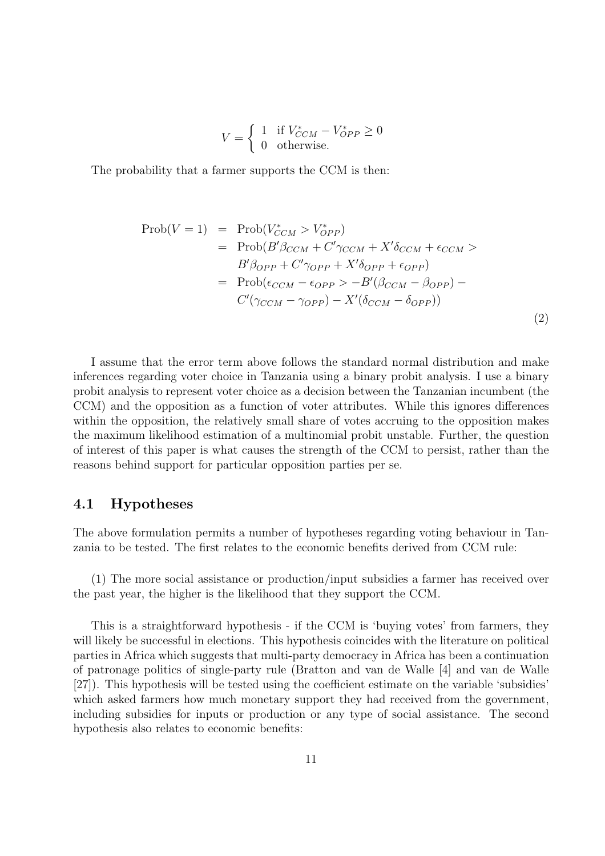$$
V = \begin{cases} 1 & \text{if } V_{CCM}^* - V_{OPP}^* \ge 0\\ 0 & \text{otherwise.} \end{cases}
$$

The probability that a farmer supports the CCM is then:

$$
\text{Prob}(V = 1) = \text{Prob}(V_{CCM}^* > V_{OPP}^*)
$$
  
= 
$$
\text{Prob}(B'\beta_{CCM} + C'\gamma_{CCM} + X'\delta_{CCM} + \epsilon_{CCM} >
$$
  

$$
B'\beta_{OPP} + C'\gamma_{OPP} + X'\delta_{OPP} + \epsilon_{OPP})
$$
  
= 
$$
\text{Prob}(\epsilon_{CCM} - \epsilon_{OPP} > -B'(\beta_{CCM} - \beta_{OPP}) - C'(\gamma_{CCM} - \gamma_{OPP}) - X'(\delta_{CCM} - \delta_{OPP}))
$$
 (2)

I assume that the error term above follows the standard normal distribution and make inferences regarding voter choice in Tanzania using a binary probit analysis. I use a binary probit analysis to represent voter choice as a decision between the Tanzanian incumbent (the CCM) and the opposition as a function of voter attributes. While this ignores differences within the opposition, the relatively small share of votes accruing to the opposition makes the maximum likelihood estimation of a multinomial probit unstable. Further, the question of interest of this paper is what causes the strength of the CCM to persist, rather than the reasons behind support for particular opposition parties per se.

#### 4.1 Hypotheses

The above formulation permits a number of hypotheses regarding voting behaviour in Tanzania to be tested. The first relates to the economic benefits derived from CCM rule:

(1) The more social assistance or production/input subsidies a farmer has received over the past year, the higher is the likelihood that they support the CCM.

This is a straightforward hypothesis - if the CCM is 'buying votes' from farmers, they will likely be successful in elections. This hypothesis coincides with the literature on political parties in Africa which suggests that multi-party democracy in Africa has been a continuation of patronage politics of single-party rule (Bratton and van de Walle [4] and van de Walle [27]). This hypothesis will be tested using the coefficient estimate on the variable 'subsidies' which asked farmers how much monetary support they had received from the government, including subsidies for inputs or production or any type of social assistance. The second hypothesis also relates to economic benefits: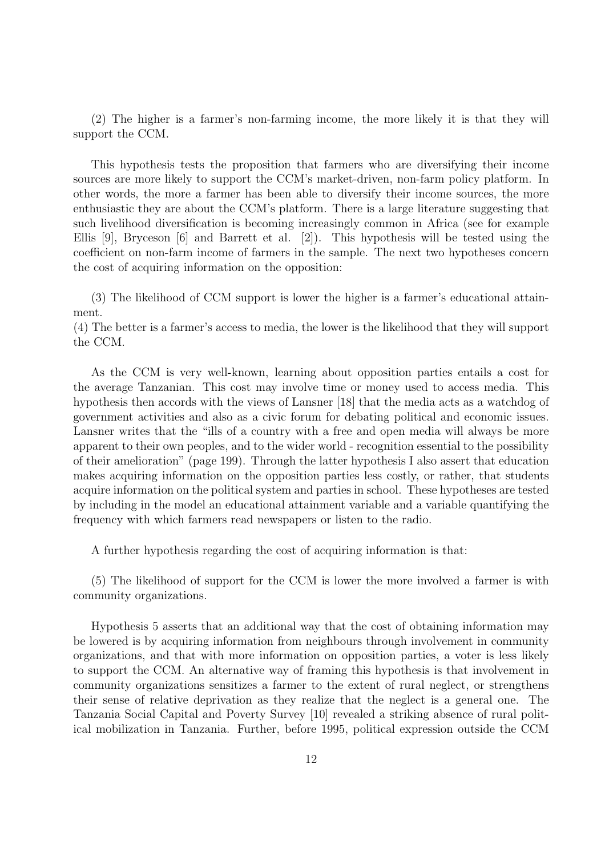(2) The higher is a farmer's non-farming income, the more likely it is that they will support the CCM.

This hypothesis tests the proposition that farmers who are diversifying their income sources are more likely to support the CCM's market-driven, non-farm policy platform. In other words, the more a farmer has been able to diversify their income sources, the more enthusiastic they are about the CCM's platform. There is a large literature suggesting that such livelihood diversification is becoming increasingly common in Africa (see for example Ellis [9], Bryceson [6] and Barrett et al. [2]). This hypothesis will be tested using the coefficient on non-farm income of farmers in the sample. The next two hypotheses concern the cost of acquiring information on the opposition:

(3) The likelihood of CCM support is lower the higher is a farmer's educational attainment.

(4) The better is a farmer's access to media, the lower is the likelihood that they will support the CCM.

As the CCM is very well-known, learning about opposition parties entails a cost for the average Tanzanian. This cost may involve time or money used to access media. This hypothesis then accords with the views of Lansner [18] that the media acts as a watchdog of government activities and also as a civic forum for debating political and economic issues. Lansner writes that the "ills of a country with a free and open media will always be more apparent to their own peoples, and to the wider world - recognition essential to the possibility of their amelioration" (page 199). Through the latter hypothesis I also assert that education makes acquiring information on the opposition parties less costly, or rather, that students acquire information on the political system and parties in school. These hypotheses are tested by including in the model an educational attainment variable and a variable quantifying the frequency with which farmers read newspapers or listen to the radio.

A further hypothesis regarding the cost of acquiring information is that:

(5) The likelihood of support for the CCM is lower the more involved a farmer is with community organizations.

Hypothesis 5 asserts that an additional way that the cost of obtaining information may be lowered is by acquiring information from neighbours through involvement in community organizations, and that with more information on opposition parties, a voter is less likely to support the CCM. An alternative way of framing this hypothesis is that involvement in community organizations sensitizes a farmer to the extent of rural neglect, or strengthens their sense of relative deprivation as they realize that the neglect is a general one. The Tanzania Social Capital and Poverty Survey [10] revealed a striking absence of rural political mobilization in Tanzania. Further, before 1995, political expression outside the CCM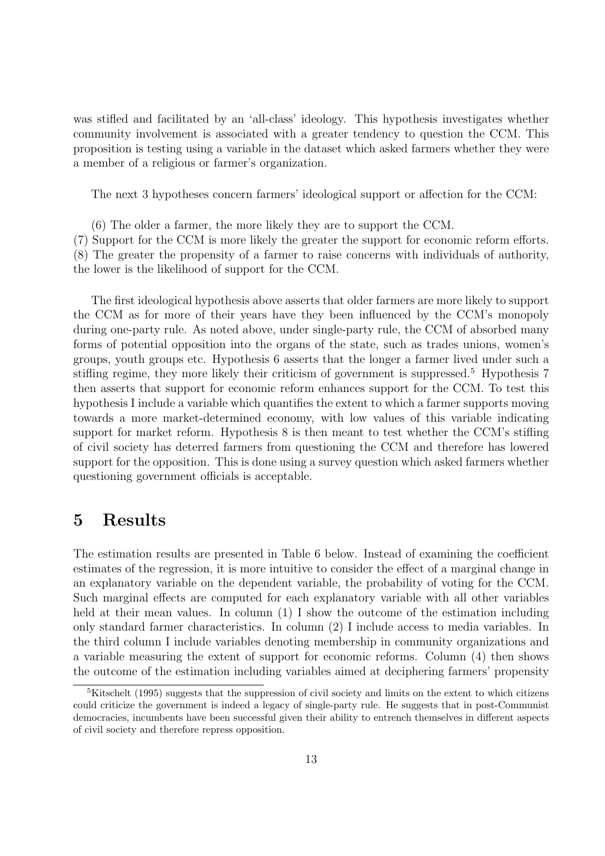was stifled and facilitated by an 'all-class' ideology. This hypothesis investigates whether community involvement is associated with a greater tendency to question the CCM. This proposition is testing using a variable in the dataset which asked farmers whether they were a member of a religious or farmer's organization.

The next 3 hypotheses concern farmers' ideological support or affection for the CCM:

(6) The older a farmer, the more likely they are to support the CCM. (7) Support for the CCM is more likely the greater the support for economic reform efforts. (8) The greater the propensity of a farmer to raise concerns with individuals of authority, the lower is the likelihood of support for the CCM.

The first ideological hypothesis above asserts that older farmers are more likely to support the CCM as for more of their years have they been influenced by the CCM's monopoly during one-party rule. As noted above, under single-party rule, the CCM of absorbed many forms of potential opposition into the organs of the state, such as trades unions, women's groups, youth groups etc. Hypothesis 6 asserts that the longer a farmer lived under such a stifling regime, they more likely their criticism of government is suppressed.<sup>5</sup> Hypothesis 7 then asserts that support for economic reform enhances support for the CCM. To test this hypothesis I include a variable which quantifies the extent to which a farmer supports moving towards a more market-determined economy, with low values of this variable indicating support for market reform. Hypothesis 8 is then meant to test whether the CCM's stifling of civil society has deterred farmers from questioning the CCM and therefore has lowered support for the opposition. This is done using a survey question which asked farmers whether questioning government officials is acceptable.

### 5 Results

The estimation results are presented in Table 6 below. Instead of examining the coefficient estimates of the regression, it is more intuitive to consider the effect of a marginal change in an explanatory variable on the dependent variable, the probability of voting for the CCM. Such marginal effects are computed for each explanatory variable with all other variables held at their mean values. In column (1) I show the outcome of the estimation including only standard farmer characteristics. In column (2) I include access to media variables. In the third column I include variables denoting membership in community organizations and a variable measuring the extent of support for economic reforms. Column (4) then shows the outcome of the estimation including variables aimed at deciphering farmers' propensity

<sup>&</sup>lt;sup>5</sup>Kitschelt (1995) suggests that the suppression of civil society and limits on the extent to which citizens could criticize the government is indeed a legacy of single-party rule. He suggests that in post-Communist democracies, incumbents have been successful given their ability to entrench themselves in different aspects of civil society and therefore repress opposition.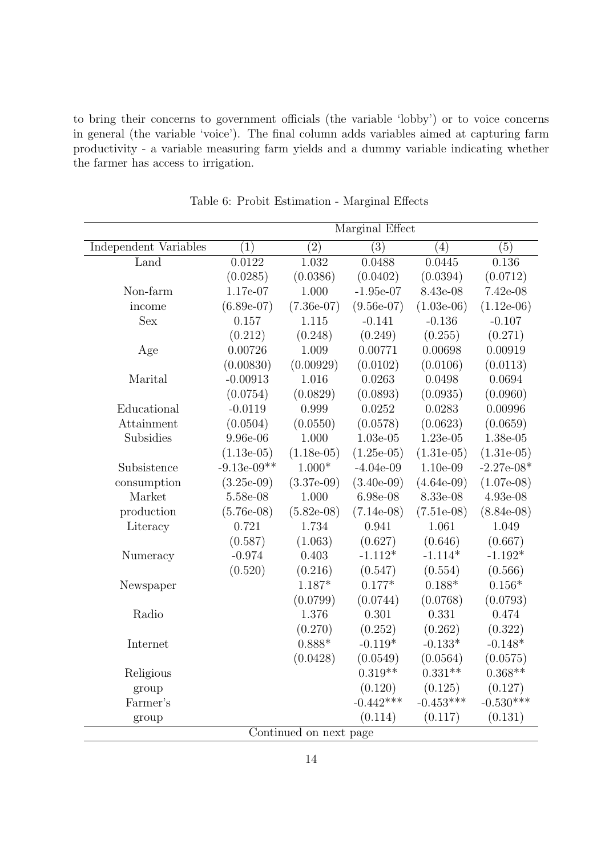to bring their concerns to government officials (the variable 'lobby') or to voice concerns in general (the variable 'voice'). The final column adds variables aimed at capturing farm productivity - a variable measuring farm yields and a dummy variable indicating whether the farmer has access to irrigation.

|                              | Marginal Effect |                  |                  |              |                  |  |
|------------------------------|-----------------|------------------|------------------|--------------|------------------|--|
| <b>Independent Variables</b> | (1)             | $\overline{(2)}$ | $\overline{(3)}$ | (4)          | $\overline{(5)}$ |  |
| Land                         | 0.0122          | 1.032            | 0.0488           | 0.0445       | 0.136            |  |
|                              | (0.0285)        | (0.0386)         | (0.0402)         | (0.0394)     | (0.0712)         |  |
| Non-farm                     | 1.17e-07        | 1.000            | $-1.95e-07$      | 8.43e-08     | 7.42e-08         |  |
| income                       | $(6.89e-07)$    | $(7.36e-07)$     | $(9.56e-07)$     | $(1.03e-06)$ | $(1.12e-06)$     |  |
| <b>Sex</b>                   | 0.157           | 1.115            | $-0.141$         | $-0.136$     | $-0.107$         |  |
|                              | (0.212)         | (0.248)          | (0.249)          | (0.255)      | (0.271)          |  |
| Age                          | 0.00726         | 1.009            | 0.00771          | 0.00698      | 0.00919          |  |
|                              | (0.00830)       | (0.00929)        | (0.0102)         | (0.0106)     | (0.0113)         |  |
| Marital                      | $-0.00913$      | 1.016            | 0.0263           | 0.0498       | 0.0694           |  |
|                              | (0.0754)        | (0.0829)         | (0.0893)         | (0.0935)     | (0.0960)         |  |
| Educational                  | $-0.0119$       | 0.999            | 0.0252           | 0.0283       | 0.00996          |  |
| Attainment                   | (0.0504)        | (0.0550)         | (0.0578)         | (0.0623)     | (0.0659)         |  |
| Subsidies                    | 9.96e-06        | 1.000            | $1.03e-05$       | 1.23e-05     | 1.38e-05         |  |
|                              | $(1.13e-05)$    | $(1.18e-05)$     | $(1.25e-05)$     | $(1.31e-05)$ | $(1.31e-05)$     |  |
| Subsistence                  | $-9.13e-09**$   | $1.000*$         | $-4.04e-09$      | $1.10e-09$   | $-2.27e-08*$     |  |
| consumption                  | $(3.25e-0.9)$   | $(3.37e-0.9)$    | $(3.40e-0.9)$    | $(4.64e-09)$ | $(1.07e-08)$     |  |
| Market                       | 5.58e-08        | 1.000            | 6.98e-08         | 8.33e-08     | 4.93e-08         |  |
| production                   | $(5.76e-08)$    | $(5.82e-08)$     | $(7.14e-08)$     | $(7.51e-08)$ | $(8.84e-08)$     |  |
| Literacy                     | 0.721           | 1.734            | 0.941            | 1.061        | 1.049            |  |
|                              | (0.587)         | (1.063)          | (0.627)          | (0.646)      | (0.667)          |  |
| Numeracy                     | $-0.974$        | 0.403            | $-1.112*$        | $-1.114*$    | $-1.192*$        |  |
|                              | (0.520)         | (0.216)          | (0.547)          | (0.554)      | (0.566)          |  |
| Newspaper                    |                 | $1.187*$         | $0.177*$         | $0.188*$     | $0.156*$         |  |
|                              |                 | (0.0799)         | (0.0744)         | (0.0768)     | (0.0793)         |  |
| Radio                        |                 | 1.376            | 0.301            | 0.331        | 0.474            |  |
|                              |                 | (0.270)          | (0.252)          | (0.262)      | (0.322)          |  |
| Internet                     |                 | $0.888*$         | $-0.119*$        | $-0.133*$    | $-0.148*$        |  |
|                              |                 | (0.0428)         | (0.0549)         | (0.0564)     | (0.0575)         |  |
| Religious                    |                 |                  | $0.319**$        | $0.331**$    | $0.368**$        |  |
| group                        |                 |                  | (0.120)          | (0.125)      | (0.127)          |  |
| Farmer's                     |                 |                  | $-0.442***$      | $-0.453***$  | $-0.530***$      |  |
| group                        |                 |                  | (0.114)          | (0.117)      | (0.131)          |  |
| Continued on next page       |                 |                  |                  |              |                  |  |

Table 6: Probit Estimation - Marginal Effects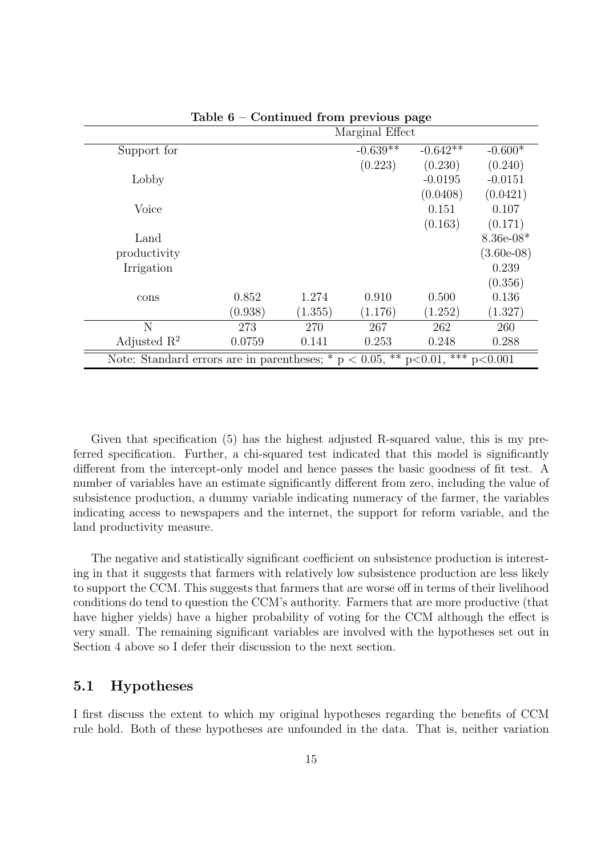|                                                                              |         |         | Marginal Effect |            |              |
|------------------------------------------------------------------------------|---------|---------|-----------------|------------|--------------|
| Support for                                                                  |         |         | $-0.639**$      | $-0.642**$ | $-0.600*$    |
|                                                                              |         |         | (0.223)         | (0.230)    | (0.240)      |
| Lobby                                                                        |         |         |                 | $-0.0195$  | $-0.0151$    |
|                                                                              |         |         |                 | (0.0408)   | (0.0421)     |
| Voice                                                                        |         |         |                 | 0.151      | 0.107        |
|                                                                              |         |         |                 | (0.163)    | (0.171)      |
| Land                                                                         |         |         |                 |            | $8.36e-08*$  |
| productivity                                                                 |         |         |                 |            | $(3.60e-08)$ |
| Irrigation                                                                   |         |         |                 |            | 0.239        |
|                                                                              |         |         |                 |            | (0.356)      |
| cons                                                                         | 0.852   | 1.274   | 0.910           | 0.500      | 0.136        |
|                                                                              | (0.938) | (1.355) | (1.176)         | (1.252)    | (1.327)      |
| N                                                                            | 273     | 270     | 267             | 262        | 260          |
| Adjusted $\mathbb{R}^2$                                                      | 0.0759  | 0.141   | 0.253           | 0.248      | 0.288        |
| Note: Standard errors are in parentheses; * p < 0.05, ** p<0.01, *** p<0.001 |         |         |                 |            |              |

Table 6 – Continued from previous page

Given that specification (5) has the highest adjusted R-squared value, this is my preferred specification. Further, a chi-squared test indicated that this model is significantly different from the intercept-only model and hence passes the basic goodness of fit test. A number of variables have an estimate significantly different from zero, including the value of subsistence production, a dummy variable indicating numeracy of the farmer, the variables indicating access to newspapers and the internet, the support for reform variable, and the land productivity measure.

The negative and statistically significant coefficient on subsistence production is interesting in that it suggests that farmers with relatively low subsistence production are less likely to support the CCM. This suggests that farmers that are worse off in terms of their livelihood conditions do tend to question the CCM's authority. Farmers that are more productive (that have higher yields) have a higher probability of voting for the CCM although the effect is very small. The remaining significant variables are involved with the hypotheses set out in Section 4 above so I defer their discussion to the next section.

#### 5.1 Hypotheses

I first discuss the extent to which my original hypotheses regarding the benefits of CCM rule hold. Both of these hypotheses are unfounded in the data. That is, neither variation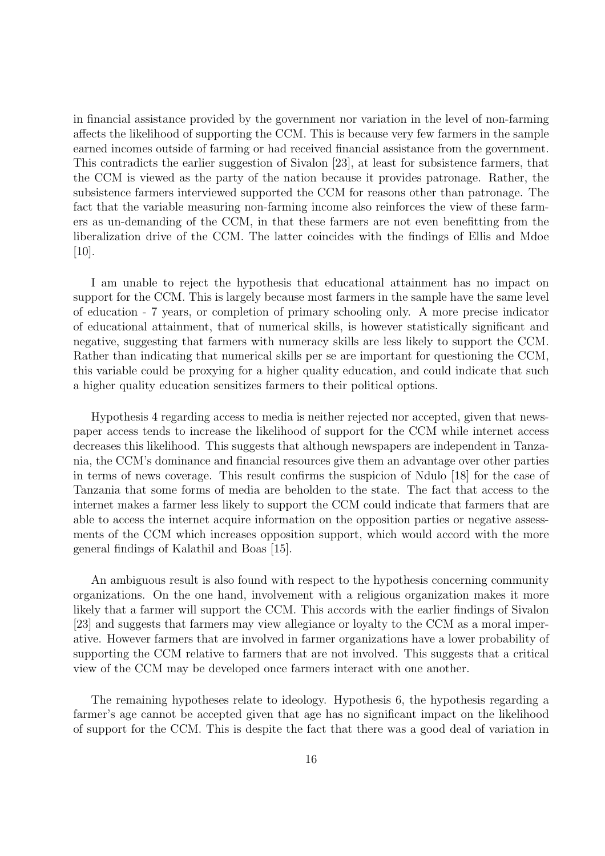in financial assistance provided by the government nor variation in the level of non-farming affects the likelihood of supporting the CCM. This is because very few farmers in the sample earned incomes outside of farming or had received financial assistance from the government. This contradicts the earlier suggestion of Sivalon [23], at least for subsistence farmers, that the CCM is viewed as the party of the nation because it provides patronage. Rather, the subsistence farmers interviewed supported the CCM for reasons other than patronage. The fact that the variable measuring non-farming income also reinforces the view of these farmers as un-demanding of the CCM, in that these farmers are not even benefitting from the liberalization drive of the CCM. The latter coincides with the findings of Ellis and Mdoe [10].

I am unable to reject the hypothesis that educational attainment has no impact on support for the CCM. This is largely because most farmers in the sample have the same level of education - 7 years, or completion of primary schooling only. A more precise indicator of educational attainment, that of numerical skills, is however statistically significant and negative, suggesting that farmers with numeracy skills are less likely to support the CCM. Rather than indicating that numerical skills per se are important for questioning the CCM, this variable could be proxying for a higher quality education, and could indicate that such a higher quality education sensitizes farmers to their political options.

Hypothesis 4 regarding access to media is neither rejected nor accepted, given that newspaper access tends to increase the likelihood of support for the CCM while internet access decreases this likelihood. This suggests that although newspapers are independent in Tanzania, the CCM's dominance and financial resources give them an advantage over other parties in terms of news coverage. This result confirms the suspicion of Ndulo [18] for the case of Tanzania that some forms of media are beholden to the state. The fact that access to the internet makes a farmer less likely to support the CCM could indicate that farmers that are able to access the internet acquire information on the opposition parties or negative assessments of the CCM which increases opposition support, which would accord with the more general findings of Kalathil and Boas [15].

An ambiguous result is also found with respect to the hypothesis concerning community organizations. On the one hand, involvement with a religious organization makes it more likely that a farmer will support the CCM. This accords with the earlier findings of Sivalon [23] and suggests that farmers may view allegiance or loyalty to the CCM as a moral imperative. However farmers that are involved in farmer organizations have a lower probability of supporting the CCM relative to farmers that are not involved. This suggests that a critical view of the CCM may be developed once farmers interact with one another.

The remaining hypotheses relate to ideology. Hypothesis 6, the hypothesis regarding a farmer's age cannot be accepted given that age has no significant impact on the likelihood of support for the CCM. This is despite the fact that there was a good deal of variation in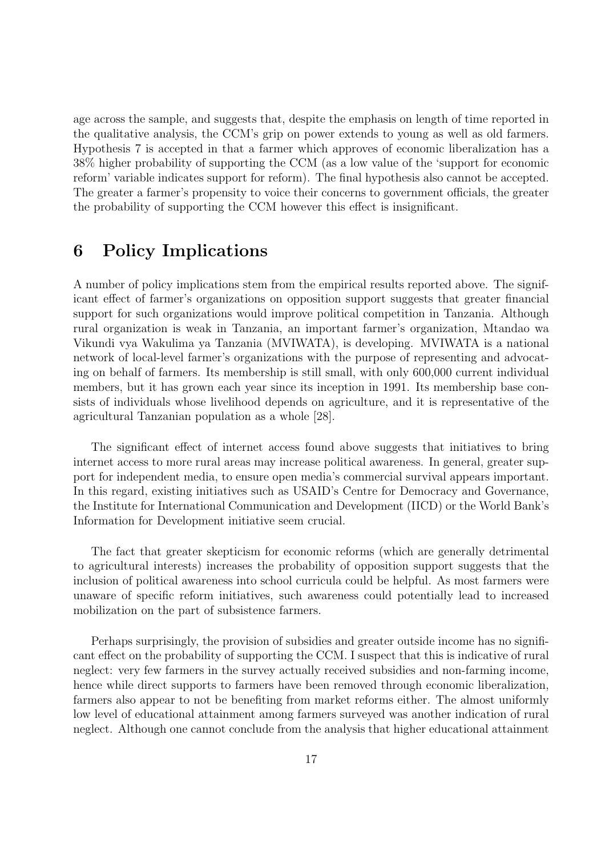age across the sample, and suggests that, despite the emphasis on length of time reported in the qualitative analysis, the CCM's grip on power extends to young as well as old farmers. Hypothesis 7 is accepted in that a farmer which approves of economic liberalization has a 38% higher probability of supporting the CCM (as a low value of the 'support for economic reform' variable indicates support for reform). The final hypothesis also cannot be accepted. The greater a farmer's propensity to voice their concerns to government officials, the greater the probability of supporting the CCM however this effect is insignificant.

# 6 Policy Implications

A number of policy implications stem from the empirical results reported above. The significant effect of farmer's organizations on opposition support suggests that greater financial support for such organizations would improve political competition in Tanzania. Although rural organization is weak in Tanzania, an important farmer's organization, Mtandao wa Vikundi vya Wakulima ya Tanzania (MVIWATA), is developing. MVIWATA is a national network of local-level farmer's organizations with the purpose of representing and advocating on behalf of farmers. Its membership is still small, with only 600,000 current individual members, but it has grown each year since its inception in 1991. Its membership base consists of individuals whose livelihood depends on agriculture, and it is representative of the agricultural Tanzanian population as a whole [28].

The significant effect of internet access found above suggests that initiatives to bring internet access to more rural areas may increase political awareness. In general, greater support for independent media, to ensure open media's commercial survival appears important. In this regard, existing initiatives such as USAID's Centre for Democracy and Governance, the Institute for International Communication and Development (IICD) or the World Bank's Information for Development initiative seem crucial.

The fact that greater skepticism for economic reforms (which are generally detrimental to agricultural interests) increases the probability of opposition support suggests that the inclusion of political awareness into school curricula could be helpful. As most farmers were unaware of specific reform initiatives, such awareness could potentially lead to increased mobilization on the part of subsistence farmers.

Perhaps surprisingly, the provision of subsidies and greater outside income has no significant effect on the probability of supporting the CCM. I suspect that this is indicative of rural neglect: very few farmers in the survey actually received subsidies and non-farming income, hence while direct supports to farmers have been removed through economic liberalization, farmers also appear to not be benefiting from market reforms either. The almost uniformly low level of educational attainment among farmers surveyed was another indication of rural neglect. Although one cannot conclude from the analysis that higher educational attainment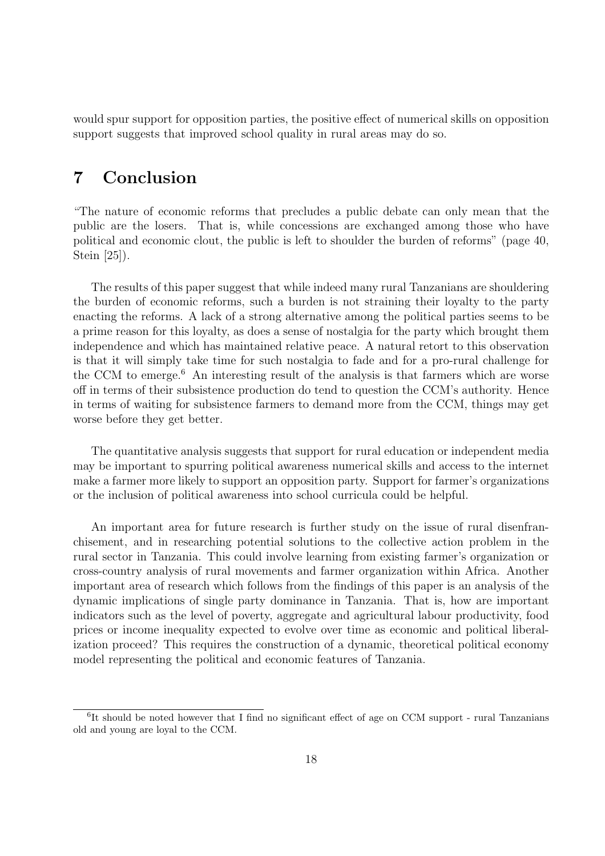would spur support for opposition parties, the positive effect of numerical skills on opposition support suggests that improved school quality in rural areas may do so.

# 7 Conclusion

"The nature of economic reforms that precludes a public debate can only mean that the public are the losers. That is, while concessions are exchanged among those who have political and economic clout, the public is left to shoulder the burden of reforms" (page 40, Stein [25]).

The results of this paper suggest that while indeed many rural Tanzanians are shouldering the burden of economic reforms, such a burden is not straining their loyalty to the party enacting the reforms. A lack of a strong alternative among the political parties seems to be a prime reason for this loyalty, as does a sense of nostalgia for the party which brought them independence and which has maintained relative peace. A natural retort to this observation is that it will simply take time for such nostalgia to fade and for a pro-rural challenge for the CCM to emerge.<sup>6</sup> An interesting result of the analysis is that farmers which are worse off in terms of their subsistence production do tend to question the CCM's authority. Hence in terms of waiting for subsistence farmers to demand more from the CCM, things may get worse before they get better.

The quantitative analysis suggests that support for rural education or independent media may be important to spurring political awareness numerical skills and access to the internet make a farmer more likely to support an opposition party. Support for farmer's organizations or the inclusion of political awareness into school curricula could be helpful.

An important area for future research is further study on the issue of rural disenfranchisement, and in researching potential solutions to the collective action problem in the rural sector in Tanzania. This could involve learning from existing farmer's organization or cross-country analysis of rural movements and farmer organization within Africa. Another important area of research which follows from the findings of this paper is an analysis of the dynamic implications of single party dominance in Tanzania. That is, how are important indicators such as the level of poverty, aggregate and agricultural labour productivity, food prices or income inequality expected to evolve over time as economic and political liberalization proceed? This requires the construction of a dynamic, theoretical political economy model representing the political and economic features of Tanzania.

<sup>&</sup>lt;sup>6</sup>It should be noted however that I find no significant effect of age on CCM support - rural Tanzanians old and young are loyal to the CCM.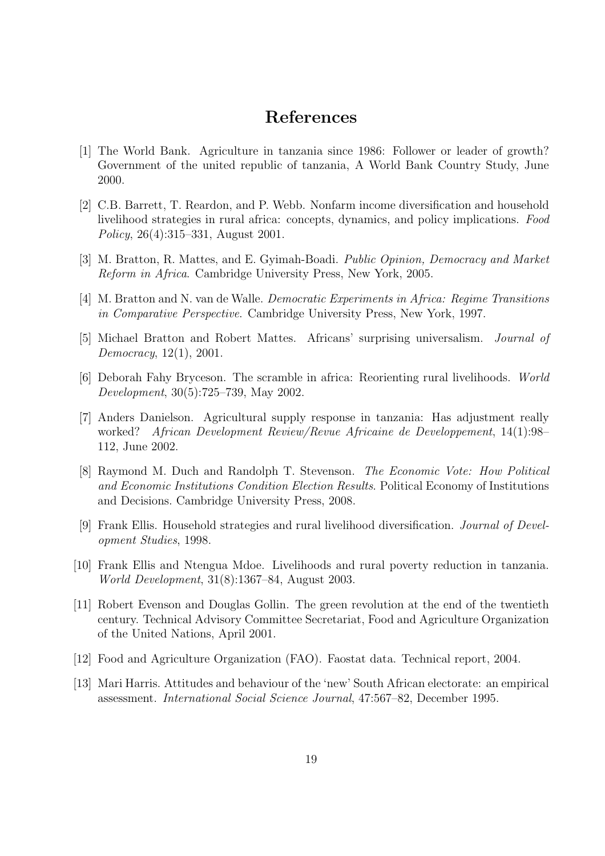### References

- [1] The World Bank. Agriculture in tanzania since 1986: Follower or leader of growth? Government of the united republic of tanzania, A World Bank Country Study, June 2000.
- [2] C.B. Barrett, T. Reardon, and P. Webb. Nonfarm income diversification and household livelihood strategies in rural africa: concepts, dynamics, and policy implications. Food Policy, 26(4):315–331, August 2001.
- [3] M. Bratton, R. Mattes, and E. Gyimah-Boadi. Public Opinion, Democracy and Market Reform in Africa. Cambridge University Press, New York, 2005.
- [4] M. Bratton and N. van de Walle. Democratic Experiments in Africa: Regime Transitions in Comparative Perspective. Cambridge University Press, New York, 1997.
- [5] Michael Bratton and Robert Mattes. Africans' surprising universalism. Journal of Democracy, 12(1), 2001.
- [6] Deborah Fahy Bryceson. The scramble in africa: Reorienting rural livelihoods. World Development, 30(5):725–739, May 2002.
- [7] Anders Danielson. Agricultural supply response in tanzania: Has adjustment really worked? African Development Review/Revue Africaine de Developpement, 14(1):98– 112, June 2002.
- [8] Raymond M. Duch and Randolph T. Stevenson. The Economic Vote: How Political and Economic Institutions Condition Election Results. Political Economy of Institutions and Decisions. Cambridge University Press, 2008.
- [9] Frank Ellis. Household strategies and rural livelihood diversification. Journal of Development Studies, 1998.
- [10] Frank Ellis and Ntengua Mdoe. Livelihoods and rural poverty reduction in tanzania. World Development, 31(8):1367–84, August 2003.
- [11] Robert Evenson and Douglas Gollin. The green revolution at the end of the twentieth century. Technical Advisory Committee Secretariat, Food and Agriculture Organization of the United Nations, April 2001.
- [12] Food and Agriculture Organization (FAO). Faostat data. Technical report, 2004.
- [13] Mari Harris. Attitudes and behaviour of the 'new' South African electorate: an empirical assessment. International Social Science Journal, 47:567–82, December 1995.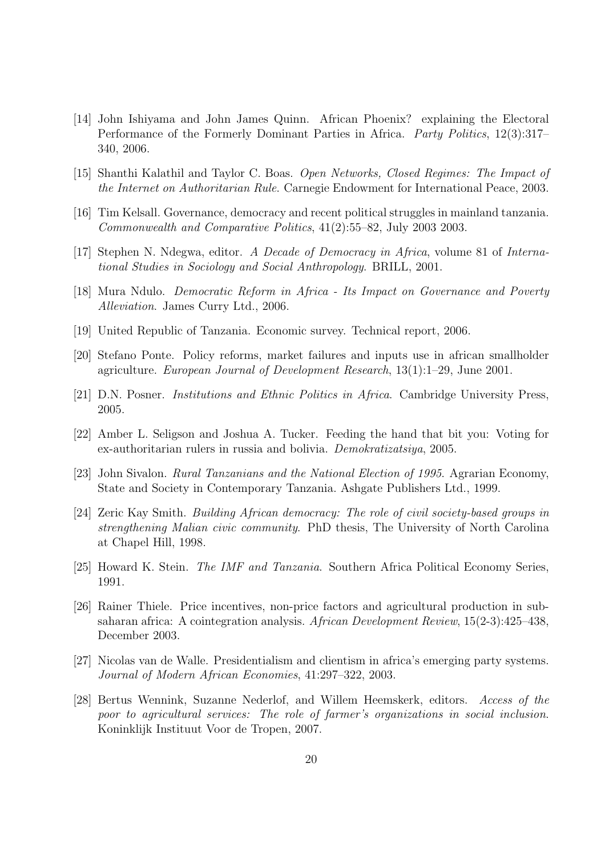- [14] John Ishiyama and John James Quinn. African Phoenix? explaining the Electoral Performance of the Formerly Dominant Parties in Africa. Party Politics, 12(3):317– 340, 2006.
- [15] Shanthi Kalathil and Taylor C. Boas. Open Networks, Closed Regimes: The Impact of the Internet on Authoritarian Rule. Carnegie Endowment for International Peace, 2003.
- [16] Tim Kelsall. Governance, democracy and recent political struggles in mainland tanzania. Commonwealth and Comparative Politics, 41(2):55–82, July 2003 2003.
- [17] Stephen N. Ndegwa, editor. A Decade of Democracy in Africa, volume 81 of International Studies in Sociology and Social Anthropology. BRILL, 2001.
- [18] Mura Ndulo. Democratic Reform in Africa Its Impact on Governance and Poverty Alleviation. James Curry Ltd., 2006.
- [19] United Republic of Tanzania. Economic survey. Technical report, 2006.
- [20] Stefano Ponte. Policy reforms, market failures and inputs use in african smallholder agriculture. European Journal of Development Research, 13(1):1–29, June 2001.
- [21] D.N. Posner. Institutions and Ethnic Politics in Africa. Cambridge University Press, 2005.
- [22] Amber L. Seligson and Joshua A. Tucker. Feeding the hand that bit you: Voting for ex-authoritarian rulers in russia and bolivia. Demokratizatsiya, 2005.
- [23] John Sivalon. Rural Tanzanians and the National Election of 1995. Agrarian Economy, State and Society in Contemporary Tanzania. Ashgate Publishers Ltd., 1999.
- [24] Zeric Kay Smith. Building African democracy: The role of civil society-based groups in strengthening Malian civic community. PhD thesis, The University of North Carolina at Chapel Hill, 1998.
- [25] Howard K. Stein. *The IMF and Tanzania*. Southern Africa Political Economy Series, 1991.
- [26] Rainer Thiele. Price incentives, non-price factors and agricultural production in subsaharan africa: A cointegration analysis. African Development Review, 15(2-3):425–438, December 2003.
- [27] Nicolas van de Walle. Presidentialism and clientism in africa's emerging party systems. Journal of Modern African Economies, 41:297–322, 2003.
- [28] Bertus Wennink, Suzanne Nederlof, and Willem Heemskerk, editors. Access of the poor to agricultural services: The role of farmer's organizations in social inclusion. Koninklijk Instituut Voor de Tropen, 2007.